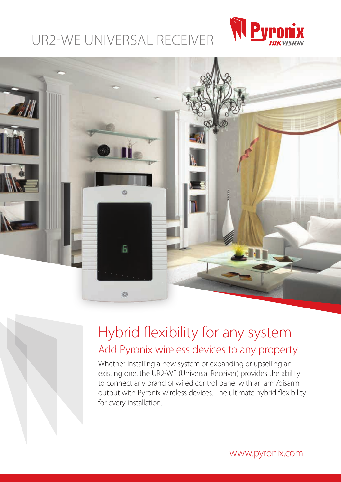# UR2-WE UNIVERSAL RECEIVER





# Hybrid flexibility for any system Add Pyronix wireless devices to any property

Whether installing a new system or expanding or upselling an existing one, the UR2-WE (Universal Receiver) provides the ability to connect any brand of wired control panel with an arm/disarm output with Pyronix wireless devices. The ultimate hybrid flexibility for every installation.